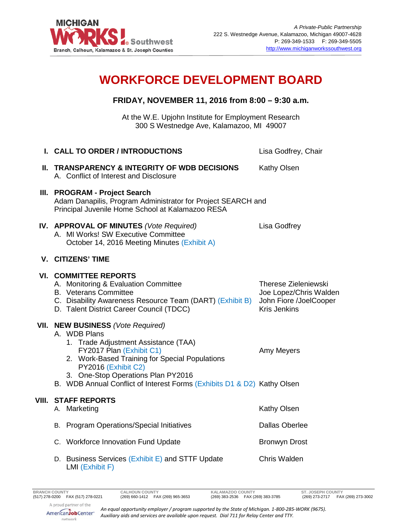

## **WORKFORCE DEVELOPMENT BOARD**

## **FRIDAY, NOVEMBER 11, 2016 from 8:00 – 9:30 a.m.**

At the W.E. Upjohn Institute for Employment Research 300 S Westnedge Ave, Kalamazoo, MI 49007

|       | I. CALL TO ORDER / INTRODUCTIONS                                                                                                                                                                                                                                           | Lisa Godfrey, Chair                                                                                    |
|-------|----------------------------------------------------------------------------------------------------------------------------------------------------------------------------------------------------------------------------------------------------------------------------|--------------------------------------------------------------------------------------------------------|
|       | II. TRANSPARENCY & INTEGRITY OF WDB DECISIONS<br>A. Conflict of Interest and Disclosure                                                                                                                                                                                    | Kathy Olsen                                                                                            |
|       | III. PROGRAM - Project Search<br>Adam Danapilis, Program Administrator for Project SEARCH and<br>Principal Juvenile Home School at Kalamazoo RESA                                                                                                                          |                                                                                                        |
|       | IV. APPROVAL OF MINUTES (Vote Required)<br>A. MI Works! SW Executive Committee<br>October 14, 2016 Meeting Minutes (Exhibit A)                                                                                                                                             | Lisa Godfrey                                                                                           |
|       | <b>V. CITIZENS' TIME</b>                                                                                                                                                                                                                                                   |                                                                                                        |
|       | <b>VI. COMMITTEE REPORTS</b><br>A. Monitoring & Evaluation Committee<br><b>B.</b> Veterans Committee<br>C. Disability Awareness Resource Team (DART) (Exhibit B)<br>D. Talent District Career Council (TDCC)<br>VII. NEW BUSINESS (Vote Required)                          | <b>Therese Zieleniewski</b><br>Joe Lopez/Chris Walden<br>John Fiore /JoelCooper<br><b>Kris Jenkins</b> |
|       | A. WDB Plans<br>1. Trade Adjustment Assistance (TAA)<br>FY2017 Plan (Exhibit C1)<br>2. Work-Based Training for Special Populations<br>PY2016 (Exhibit C2)<br>3. One-Stop Operations Plan PY2016<br>B. WDB Annual Conflict of Interest Forms (Exhibits D1 & D2) Kathy Olsen | Amy Meyers                                                                                             |
| VIII. | <b>STAFF REPORTS</b>                                                                                                                                                                                                                                                       |                                                                                                        |
|       | A. Marketing                                                                                                                                                                                                                                                               | Kathy Olsen<br><b>Dallas Oberlee</b>                                                                   |
|       | B. Program Operations/Special Initiatives                                                                                                                                                                                                                                  |                                                                                                        |
|       | C. Workforce Innovation Fund Update                                                                                                                                                                                                                                        | <b>Bronwyn Drost</b>                                                                                   |
|       | D. Business Services (Exhibit E) and STTF Update                                                                                                                                                                                                                           | <b>Chris Walden</b>                                                                                    |

LMI (Exhibit F)

*An equal opportunity employer / program supported by the State of Michigan. 1-800-285-WORK (9675). Auxiliary aids and services are available upon request. Dial 711 for Relay Center and TTY.*